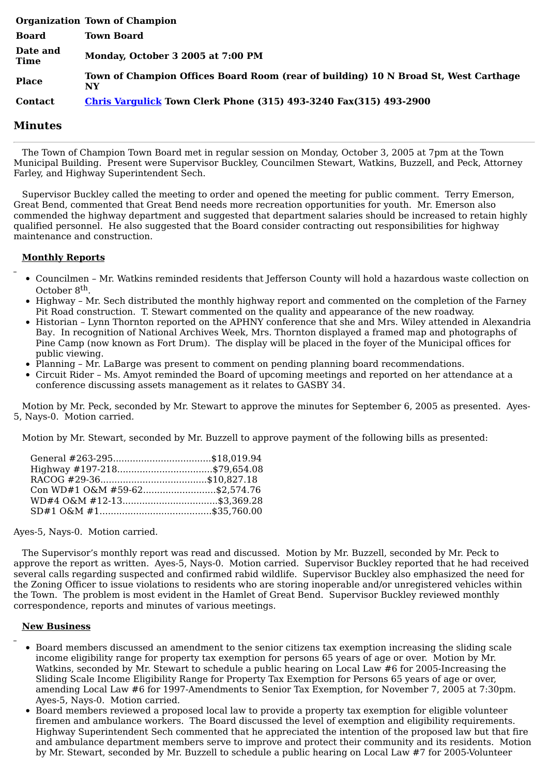|                         | <b>Organization Town of Champion</b>                                                      |
|-------------------------|-------------------------------------------------------------------------------------------|
| <b>Board</b>            | <b>Town Board</b>                                                                         |
| Date and<br><b>Time</b> | Monday, October 3 2005 at 7:00 PM                                                         |
| <b>Place</b>            | Town of Champion Offices Board Room (rear of building) 10 N Broad St, West Carthage<br>NY |
| <b>Contact</b>          | <b>Chris Vargulick Town Clerk Phone (315) 493-3240 Fax(315) 493-2900</b>                  |

## **Minutes**

The Town of Champion Town Board met in regular session on Monday, October 3, 2005 at 7pm at the Town Municipal Building. Present were Supervisor Buckley, Councilmen Stewart, Watkins, Buzzell, and Peck, Attorney Farley, and Highway Superintendent Sech.

Supervisor Buckley called the meeting to order and opened the meeting for public comment. Terry Emerson, Great Bend, commented that Great Bend needs more recreation opportunities for youth. Mr. Emerson also commended the highway department and suggested that department salaries should be increased to retain highly qualified personnel. He also suggested that the Board consider contracting out responsibilities for highway maintenance and construction.

## **Monthly Reports**

- Councilmen Mr. Watkins reminded residents that Jefferson County will hold a hazardous waste collection on October 8<sup>th</sup>.
- Highway Mr. Sech distributed the monthly highway report and commented on the completion of the Farney Pit Road construction. T. Stewart commented on the quality and appearance of the new roadway.
- Historian Lynn Thornton reported on the APHNY conference that she and Mrs. Wiley attended in Alexandria Bay. In recognition of National Archives Week, Mrs. Thornton displayed a framed map and photographs of Pine Camp (now known as Fort Drum). The display will be placed in the foyer of the Municipal offices for public viewing.
- Planning Mr. LaBarge was present to comment on pending planning board recommendations.
- Circuit Rider Ms. Amyot reminded the Board of upcoming meetings and reported on her attendance at a conference discussing assets management as it relates to GASBY 34.

Motion by Mr. Peck, seconded by Mr. Stewart to approve the minutes for September 6, 2005 as presented. Ayes-5, Nays-0. Motion carried.

Motion by Mr. Stewart, seconded by Mr. Buzzell to approve payment of the following bills as presented:

| General #263-295\$18,019.94   |  |
|-------------------------------|--|
| Highway #197-218\$79,654.08   |  |
|                               |  |
| Con WD#1 O&M #59-62\$2,574.76 |  |
| WD#4 O&M #12-13\$3,369.28     |  |
|                               |  |

Ayes-5, Nays-0. Motion carried.

The Supervisor's monthly report was read and discussed. Motion by Mr. Buzzell, seconded by Mr. Peck to approve the report as written. Ayes-5, Nays-0. Motion carried. Supervisor Buckley reported that he had received several calls regarding suspected and confirmed rabid wildlife. Supervisor Buckley also emphasized the need for the Zoning Officer to issue violations to residents who are storing inoperable and/or unregistered vehicles within the Town. The problem is most evident in the Hamlet of Great Bend. Supervisor Buckley reviewed monthly correspondence, reports and minutes of various meetings.

## **New Business**

- Board members discussed an amendment to the senior citizens tax exemption increasing the sliding scale income eligibility range for property tax exemption for persons 65 years of age or over. Motion by Mr. Watkins, seconded by Mr. Stewart to schedule a public hearing on Local Law #6 for 2005-Increasing the Sliding Scale Income Eligibility Range for Property Tax Exemption for Persons 65 years of age or over, amending Local Law #6 for 1997-Amendments to Senior Tax Exemption, for November 7, 2005 at 7:30pm. Ayes-5, Nays-0. Motion carried.
- Board members reviewed a proposed local law to provide a property tax exemption for eligible volunteer firemen and ambulance workers. The Board discussed the level of exemption and eligibility requirements. Highway Superintendent Sech commented that he appreciated the intention of the proposed law but that fire and ambulance department members serve to improve and protect their community and its residents. Motion by Mr. Stewart, seconded by Mr. Buzzell to schedule a public hearing on Local Law #7 for 2005-Volunteer